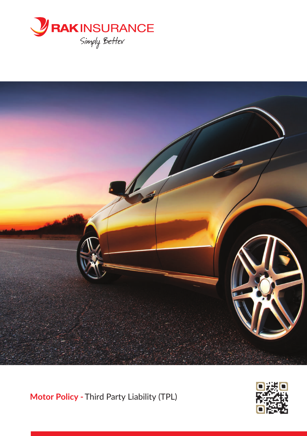



**Motor Policy -** Third Party Liability (TPL)

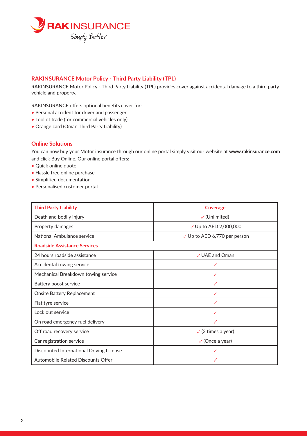

## **RAKINSURANCE Motor Policy - Third Party Liability (TPL)**

RAKINSURANCE Motor Policy - Third Party Liability (TPL) provides cover against accidental damage to a third party vehicle and property.

RAKINSURANCE offers optional benefits cover for:

- Personal accident for driver and passenger
- Tool of trade (for commercial vehicles only)
- Orange card (Oman Third Party Liability)

## **Online Solutions**

You can now buy your Motor insurance through our online portal simply visit our website at **www.rakinsurance.com** and click Buy Online. Our online portal offers:

- Quick online quote
- Hassle free online purchase
- Simplified documentation
- Personalised customer portal

| <b>Third Party Liability</b>             | <b>Coverage</b>                         |
|------------------------------------------|-----------------------------------------|
| Death and bodily injury                  | $\checkmark$ (Unlimited)                |
| Property damages                         | √ Up to AED 2,000,000                   |
| National Ambulance service               | $\checkmark$ Up to AED 6,770 per person |
| <b>Roadside Assistance Services</b>      |                                         |
| 24 hours roadside assistance             | ✓ UAE and Oman                          |
| Accidental towing service                | √                                       |
| Mechanical Breakdown towing service      | $\checkmark$                            |
| Battery boost service                    | $\checkmark$                            |
| Onsite Battery Replacement               |                                         |
| Flat tyre service                        | √                                       |
| Lock out service                         | $\checkmark$                            |
| On road emergency fuel delivery          | $\checkmark$                            |
| Off road recovery service                | $\sqrt{3}$ times a year)                |
| Car registration service                 | $\sqrt{}$ (Once a year)                 |
| Discounted International Driving License | √                                       |
| Automobile Related Discounts Offer       | $\checkmark$                            |